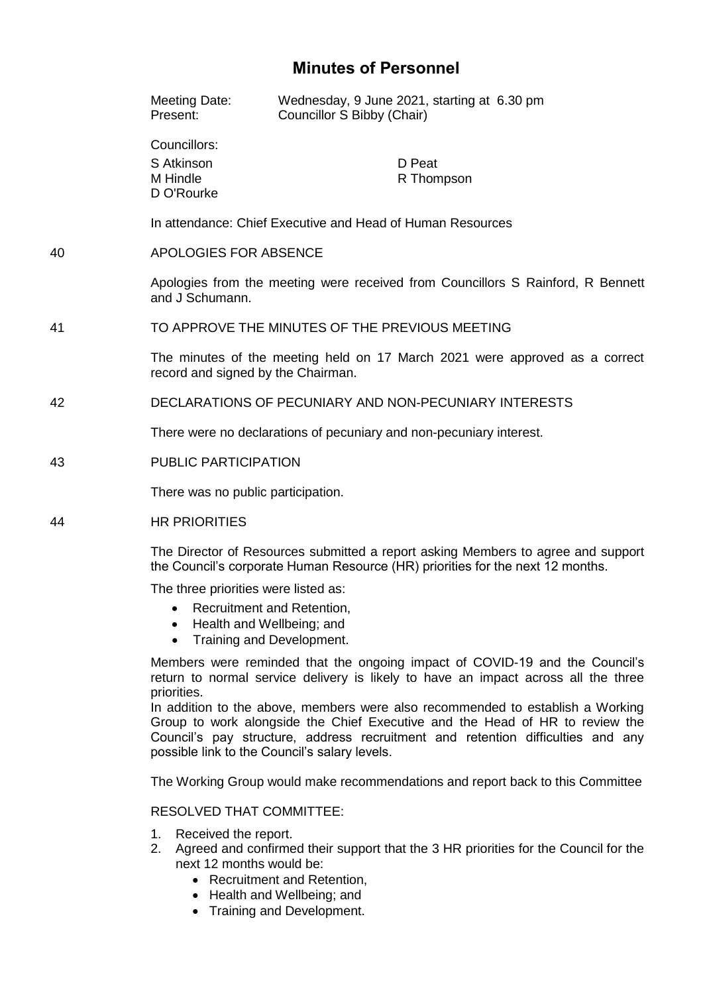# **Minutes of Personnel**

|    | Meeting Date:<br>Present:                                                                                                                                          | Wednesday, 9 June 2021, starting at 6.30 pm<br>Councillor S Bibby (Chair) |
|----|--------------------------------------------------------------------------------------------------------------------------------------------------------------------|---------------------------------------------------------------------------|
|    | Councillors:<br>S Atkinson<br>M Hindle<br>D O'Rourke                                                                                                               | D Peat<br>R Thompson                                                      |
|    |                                                                                                                                                                    | In attendance: Chief Executive and Head of Human Resources                |
| 40 | APOLOGIES FOR ABSENCE                                                                                                                                              |                                                                           |
|    | Apologies from the meeting were received from Councillors S Rainford, R Bennett<br>and J Schumann.                                                                 |                                                                           |
| 41 | TO APPROVE THE MINUTES OF THE PREVIOUS MEETING                                                                                                                     |                                                                           |
|    | The minutes of the meeting held on 17 March 2021 were approved as a correct<br>record and signed by the Chairman.                                                  |                                                                           |
| 42 | DECLARATIONS OF PECUNIARY AND NON-PECUNIARY INTERESTS                                                                                                              |                                                                           |
|    | There were no declarations of pecuniary and non-pecuniary interest.                                                                                                |                                                                           |
| 43 | PUBLIC PARTICIPATION                                                                                                                                               |                                                                           |
|    | There was no public participation.                                                                                                                                 |                                                                           |
| 44 | <b>HR PRIORITIES</b>                                                                                                                                               |                                                                           |
|    | The Director of Resources submitted a report asking Members to agree and support<br>the Council's corporate Human Resource (HR) priorities for the next 12 months. |                                                                           |
|    | The three priorities were listed as:<br>Recruitment and Retention,<br>$\bullet$<br>• Health and Wellbeing; and<br>Training and Development.<br>$\bullet$           |                                                                           |
|    | Members were reminded that the ongoing impact of COVID-19 and the Council's                                                                                        |                                                                           |

Members were reminded that the ongoing impact of COVID-19 and the Council's return to normal service delivery is likely to have an impact across all the three priorities.

In addition to the above, members were also recommended to establish a Working Group to work alongside the Chief Executive and the Head of HR to review the Council's pay structure, address recruitment and retention difficulties and any possible link to the Council's salary levels.

The Working Group would make recommendations and report back to this Committee

## RESOLVED THAT COMMITTEE:

- 1. Received the report.
- 2. Agreed and confirmed their support that the 3 HR priorities for the Council for the next 12 months would be:
	- Recruitment and Retention,
	- Health and Wellbeing; and
	- Training and Development.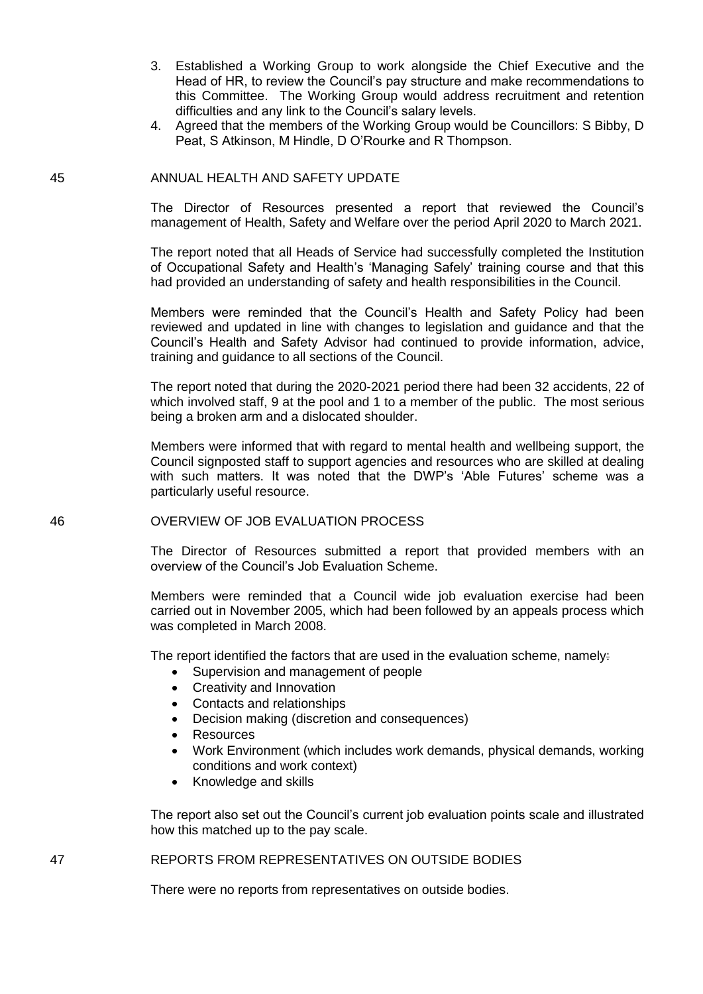- 3. Established a Working Group to work alongside the Chief Executive and the Head of HR, to review the Council's pay structure and make recommendations to this Committee. The Working Group would address recruitment and retention difficulties and any link to the Council's salary levels.
- 4. Agreed that the members of the Working Group would be Councillors: S Bibby, D Peat, S Atkinson, M Hindle, D O'Rourke and R Thompson.

### 45 ANNUAL HEALTH AND SAFETY UPDATE

The Director of Resources presented a report that reviewed the Council's management of Health, Safety and Welfare over the period April 2020 to March 2021.

The report noted that all Heads of Service had successfully completed the Institution of Occupational Safety and Health's 'Managing Safely' training course and that this had provided an understanding of safety and health responsibilities in the Council.

Members were reminded that the Council's Health and Safety Policy had been reviewed and updated in line with changes to legislation and guidance and that the Council's Health and Safety Advisor had continued to provide information, advice, training and guidance to all sections of the Council.

The report noted that during the 2020-2021 period there had been 32 accidents, 22 of which involved staff, 9 at the pool and 1 to a member of the public. The most serious being a broken arm and a dislocated shoulder.

Members were informed that with regard to mental health and wellbeing support, the Council signposted staff to support agencies and resources who are skilled at dealing with such matters. It was noted that the DWP's 'Able Futures' scheme was a particularly useful resource.

#### 46 OVERVIEW OF JOB EVALUATION PROCESS

The Director of Resources submitted a report that provided members with an overview of the Council's Job Evaluation Scheme.

Members were reminded that a Council wide job evaluation exercise had been carried out in November 2005, which had been followed by an appeals process which was completed in March 2008.

The report identified the factors that are used in the evaluation scheme, namely:

- Supervision and management of people
- Creativity and Innovation
- Contacts and relationships
- Decision making (discretion and consequences)
- Resources
- Work Environment (which includes work demands, physical demands, working conditions and work context)
- Knowledge and skills

The report also set out the Council's current job evaluation points scale and illustrated how this matched up to the pay scale.

47 REPORTS FROM REPRESENTATIVES ON OUTSIDE BODIES

There were no reports from representatives on outside bodies.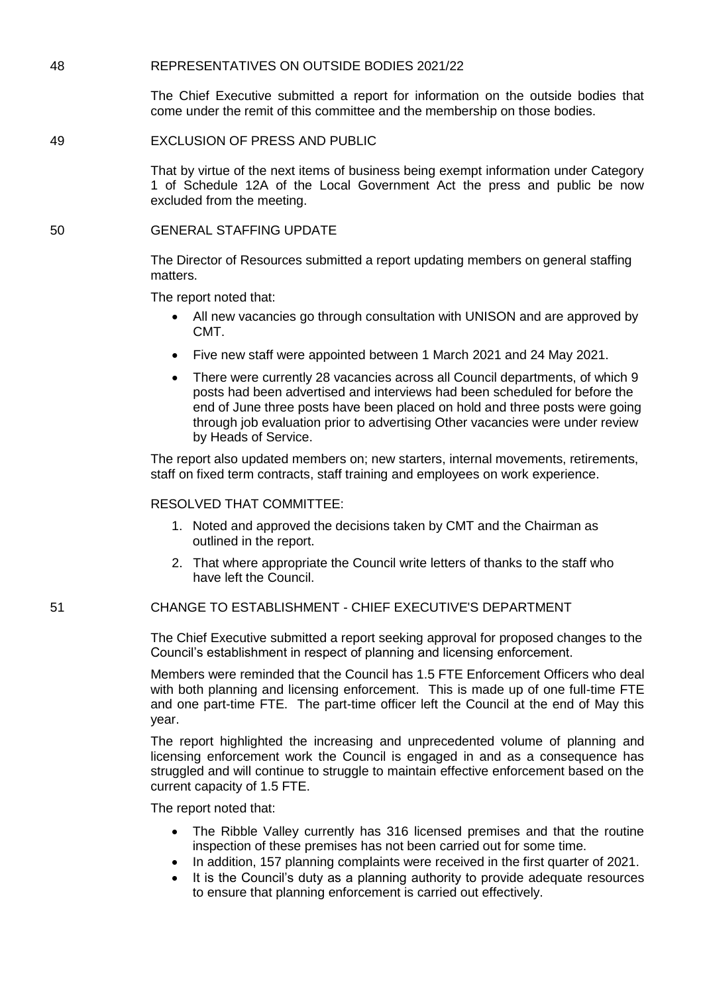## 48 REPRESENTATIVES ON OUTSIDE BODIES 2021/22

The Chief Executive submitted a report for information on the outside bodies that come under the remit of this committee and the membership on those bodies.

### 49 EXCLUSION OF PRESS AND PUBLIC

That by virtue of the next items of business being exempt information under Category 1 of Schedule 12A of the Local Government Act the press and public be now excluded from the meeting.

## 50 GENERAL STAFFING UPDATE

The Director of Resources submitted a report updating members on general staffing matters.

The report noted that:

- All new vacancies go through consultation with UNISON and are approved by CMT.
- Five new staff were appointed between 1 March 2021 and 24 May 2021.
- There were currently 28 vacancies across all Council departments, of which 9 posts had been advertised and interviews had been scheduled for before the end of June three posts have been placed on hold and three posts were going through job evaluation prior to advertising Other vacancies were under review by Heads of Service.

The report also updated members on; new starters, internal movements, retirements, staff on fixed term contracts, staff training and employees on work experience.

### RESOLVED THAT COMMITTEE:

- 1. Noted and approved the decisions taken by CMT and the Chairman as outlined in the report.
- 2. That where appropriate the Council write letters of thanks to the staff who have left the Council.

## 51 CHANGE TO ESTABLISHMENT - CHIEF EXECUTIVE'S DEPARTMENT

The Chief Executive submitted a report seeking approval for proposed changes to the Council's establishment in respect of planning and licensing enforcement.

Members were reminded that the Council has 1.5 FTE Enforcement Officers who deal with both planning and licensing enforcement. This is made up of one full-time FTE and one part-time FTE. The part-time officer left the Council at the end of May this year.

The report highlighted the increasing and unprecedented volume of planning and licensing enforcement work the Council is engaged in and as a consequence has struggled and will continue to struggle to maintain effective enforcement based on the current capacity of 1.5 FTE.

The report noted that:

- The Ribble Valley currently has 316 licensed premises and that the routine inspection of these premises has not been carried out for some time.
- In addition, 157 planning complaints were received in the first quarter of 2021.
- It is the Council's duty as a planning authority to provide adequate resources to ensure that planning enforcement is carried out effectively.